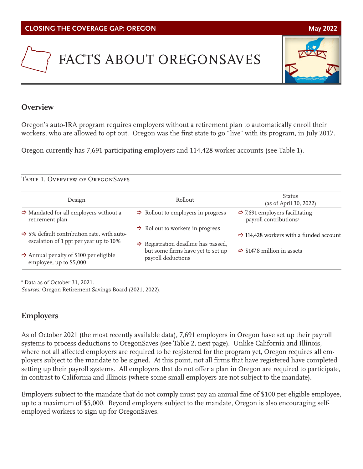# FACTS ABOUT OREGONSAVES

# **Overview**

Oregon's auto-IRA program requires employers without a retirement plan to automatically enroll their workers, who are allowed to opt out. Oregon was the first state to go "live" with its program, in July 2017.

Oregon currently has 7,691 participating employers and 114,428 worker accounts (see Table 1).

## Table 1. Overview of OregonSaves

| Design                                                                                           | Rollout                                                                                         | Status<br>(as of April 30, 2022)                                                 |
|--------------------------------------------------------------------------------------------------|-------------------------------------------------------------------------------------------------|----------------------------------------------------------------------------------|
| $\Rightarrow$ Mandated for all employers without a<br>retirement plan                            | $\Rightarrow$ Rollout to employers in progress                                                  | $\Rightarrow$ 7,691 employers facilitating<br>payroll contributions <sup>a</sup> |
| $\Rightarrow$ 5% default contribution rate, with auto-<br>escalation of 1 ppt per year up to 10% | $\Rightarrow$ Rollout to workers in progress<br>$\Rightarrow$ Registration deadline has passed, | $\Rightarrow$ 114,428 workers with a funded account                              |
| $\Rightarrow$ Annual penalty of \$100 per eligible<br>employee, up to \$5,000                    | but some firms have yet to set up<br>payroll deductions                                         | $\Rightarrow$ \$147.8 million in assets                                          |

a Data as of October 31, 2021.

*Sources:* Oregon Retirement Savings Board (2021, 2022).

# **Employers**

As of October 2021 (the most recently available data), 7,691 employers in Oregon have set up their payroll systems to process deductions to OregonSaves (see Table 2, next page). Unlike California and Illinois, where not all affected employers are required to be registered for the program yet, Oregon requires all employers subject to the mandate to be signed. At this point, not all firms that have registered have completed setting up their payroll systems. All employers that do not offer a plan in Oregon are required to participate, in contrast to California and Illinois (where some small employers are not subject to the mandate).

Employers subject to the mandate that do not comply must pay an annual fine of \$100 per eligible employee, up to a maximum of \$5,000. Beyond employers subject to the mandate, Oregon is also encouraging selfemployed workers to sign up for OregonSaves.

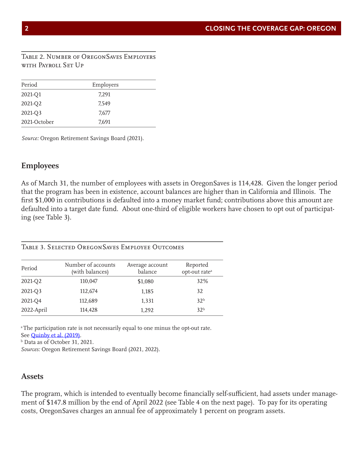Table 2. Number of OregonSaves Employers with Payroll Set Up

| Period       | Employers |  |
|--------------|-----------|--|
| 2021-Q1      | 7,291     |  |
| 2021-Q2      | 7.549     |  |
| 2021-Q3      | 7,677     |  |
| 2021-October | 7,691     |  |

*Source:* Oregon Retirement Savings Board (2021).

### **Employees**

As of March 31, the number of employees with assets in OregonSaves is 114,428. Given the longer period that the program has been in existence, account balances are higher than in California and Illinois. The first \$1,000 in contributions is defaulted into a money market fund; contributions above this amount are defaulted into a target date fund. About one-third of eligible workers have chosen to opt out of participating (see Table 3).

| Period     | Number of accounts<br>(with balances) | Average account<br>balance | Reported<br>opt-out rate <sup>a</sup> |
|------------|---------------------------------------|----------------------------|---------------------------------------|
| 2021-Q2    | 110,047                               | \$1,080                    | 32%                                   |
| 2021-Q3    | 112,674                               | 1,185                      | 32                                    |
| 2021-Q4    | 112,689                               | 1,331                      | 32 <sup>b</sup>                       |
| 2022-April | 114,428                               | 1.292                      | 32 <sup>b</sup>                       |

### Table 3. Selected OregonSaves Employee Outcomes

<sup>a</sup> The participation rate is not necessarily equal to one minus the opt-out rate. See [Quinby et al. \(2019\).](https://crr.bc.edu/working-papers/participation-and-pre-retirement-withdrawals-in-oregons-auto-ira/)

b Data as of October 31, 2021.

*Sources:* Oregon Retirement Savings Board (2021, 2022).

### **Assets**

The program, which is intended to eventually become financially self-sufficient, had assets under management of \$147.8 million by the end of April 2022 (see Table 4 on the next page). To pay for its operating costs, OregonSaves charges an annual fee of approximately 1 percent on program assets.